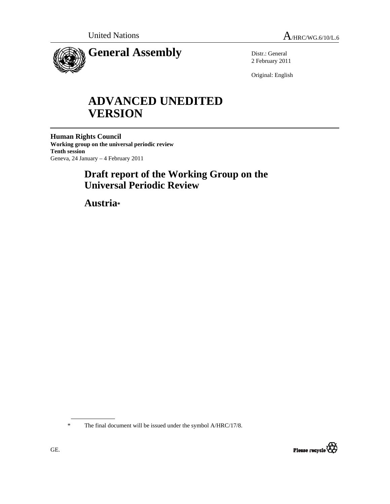

Distr.: General 2 February 2011

Original: English

# **ADVANCED UNEDITED VERSION**

**Human Rights Council Working group on the universal periodic review Tenth session**  Geneva, 24 January – 4 February 2011

## **Draft report of the Working Group on the Universal Periodic Review**

 **Austria\*** 

The final document will be issued under the symbol A/HRC/17/8.

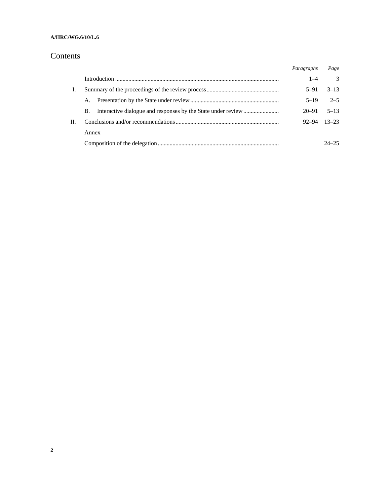#### **A/HRC/WG.6/10/L.6**

## Contents

|    |           | Paragraphs          | Page      |
|----|-----------|---------------------|-----------|
|    |           | $1 - 4$             | 3         |
| I. |           | $5 - 91$            | $3 - 13$  |
|    | A.        | $5 - 19$            | $2 - 5$   |
|    | <b>B.</b> | $20 - 91$           | $5 - 13$  |
| П. |           | $92 - 94$ $13 - 23$ |           |
|    | Annex     |                     |           |
|    |           |                     | $24 - 25$ |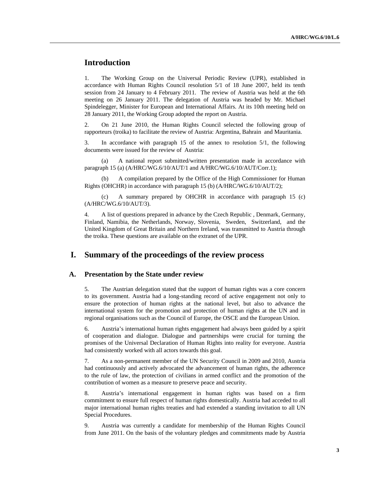## **Introduction**

1. The Working Group on the Universal Periodic Review (UPR), established in accordance with Human Rights Council resolution 5/1 of 18 June 2007, held its tenth session from 24 January to 4 February 2011. The review of Austria was held at the 6th meeting on 26 January 2011. The delegation of Austria was headed by Mr. Michael Spindelegger, Minister for European and International Affairs. At its 10th meeting held on 28 January 2011, the Working Group adopted the report on Austria.

2. On 21 June 2010, the Human Rights Council selected the following group of rapporteurs (troika) to facilitate the review of Austria: Argentina, Bahrain and Mauritania.

3. In accordance with paragraph 15 of the annex to resolution 5/1, the following documents were issued for the review of Austria:

 (a) A national report submitted/written presentation made in accordance with paragraph 15 (a) (A/HRC/WG.6/10/AUT/1 and A/HRC/WG.6/10/AUT/Corr.1);

 (b) A compilation prepared by the Office of the High Commissioner for Human Rights (OHCHR) in accordance with paragraph 15 (b) (A/HRC/WG.6/10/AUT/2);

 (c) A summary prepared by OHCHR in accordance with paragraph 15 (c) (A/HRC/WG.6/10/AUT/3).

4. A list of questions prepared in advance by the Czech Republic , Denmark, Germany, Finland, Namibia, the Netherlands, Norway, Slovenia, Sweden, Switzerland, and the United Kingdom of Great Britain and Northern Ireland, was transmitted to Austria through the troika. These questions are available on the extranet of the UPR.

## **I. Summary of the proceedings of the review process**

#### **A. Presentation by the State under review**

5. The Austrian delegation stated that the support of human rights was a core concern to its government. Austria had a long-standing record of active engagement not only to ensure the protection of human rights at the national level, but also to advance the international system for the promotion and protection of human rights at the UN and in regional organisations such as the Council of Europe, the OSCE and the European Union.

6. Austria's international human rights engagement had always been guided by a spirit of cooperation and dialogue. Dialogue and partnerships were crucial for turning the promises of the Universal Declaration of Human Rights into reality for everyone. Austria had consistently worked with all actors towards this goal.

7. As a non-permanent member of the UN Security Council in 2009 and 2010, Austria had continuously and actively advocated the advancement of human rights, the adherence to the rule of law, the protection of civilians in armed conflict and the promotion of the contribution of women as a measure to preserve peace and security.

8. Austria's international engagement in human rights was based on a firm commitment to ensure full respect of human rights domestically. Austria had acceded to all major international human rights treaties and had extended a standing invitation to all UN Special Procedures.

9. Austria was currently a candidate for membership of the Human Rights Council from June 2011. On the basis of the voluntary pledges and commitments made by Austria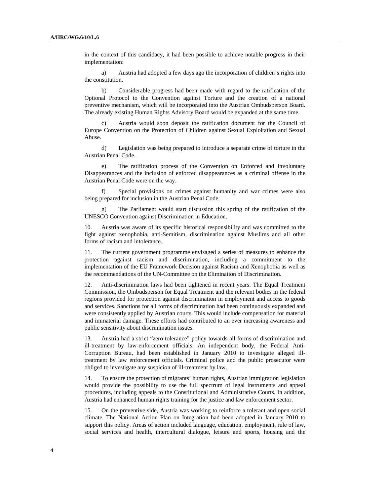in the context of this candidacy, it had been possible to achieve notable progress in their implementation:

 a) Austria had adopted a few days ago the incorporation of children's rights into the constitution.

 b) Considerable progress had been made with regard to the ratification of the Optional Protocol to the Convention against Torture and the creation of a national preventive mechanism, which will be incorporated into the Austrian Ombudsperson Board. The already existing Human Rights Advisory Board would be expanded at the same time.

 c) Austria would soon deposit the ratification document for the Council of Europe Convention on the Protection of Children against Sexual Exploitation and Sexual Abuse.

 d) Legislation was being prepared to introduce a separate crime of torture in the Austrian Penal Code.

 e) The ratification process of the Convention on Enforced and Involuntary Disappearances and the inclusion of enforced disappearances as a criminal offense in the Austrian Penal Code were on the way.

 f) Special provisions on crimes against humanity and war crimes were also being prepared for inclusion in the Austrian Penal Code.

The Parliament would start discussion this spring of the ratification of the UNESCO Convention against Discrimination in Education.

10. Austria was aware of its specific historical responsibility and was committed to the fight against xenophobia, anti-Semitism, discrimination against Muslims and all other forms of racism and intolerance.

11. The current government programme envisaged a series of measures to enhance the protection against racism and discrimination, including a commitment to the implementation of the EU Framework Decision against Racism and Xenophobia as well as the recommendations of the UN-Committee on the Elimination of Discrimination.

12. Anti-discrimination laws had been tightened in recent years. The Equal Treatment Commission, the Ombudsperson for Equal Treatment and the relevant bodies in the federal regions provided for protection against discrimination in employment and access to goods and services. Sanctions for all forms of discrimination had been continuously expanded and were consistently applied by Austrian courts. This would include compensation for material and immaterial damage. These efforts had contributed to an ever increasing awareness and public sensitivity about discrimination issues.

13. Austria had a strict "zero tolerance" policy towards all forms of discrimination and ill-treatment by law-enforcement officials. An independent body, the Federal Anti-Corruption Bureau, had been established in January 2010 to investigate alleged illtreatment by law enforcement officials. Criminal police and the public prosecutor were obliged to investigate any suspicion of ill-treatment by law.

14. To ensure the protection of migrants' human rights, Austrian immigration legislation would provide the possibility to use the full spectrum of legal instruments and appeal procedures, including appeals to the Constitutional and Administrative Courts. In addition, Austria had enhanced human rights training for the justice and law enforcement sector.

15. On the preventive side, Austria was working to reinforce a tolerant and open social climate. The National Action Plan on Integration had been adopted in January 2010 to support this policy. Areas of action included language, education, employment, rule of law, social services and health, intercultural dialogue, leisure and sports, housing and the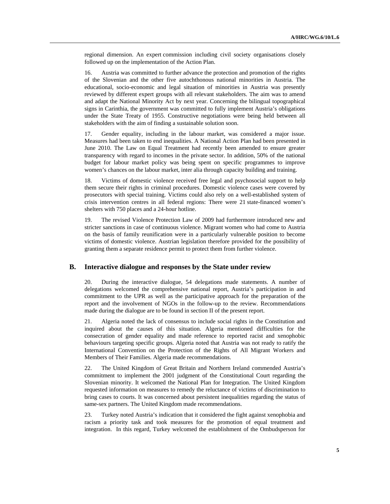regional dimension. An expert commission including civil society organisations closely followed up on the implementation of the Action Plan.

16. Austria was committed to further advance the protection and promotion of the rights of the Slovenian and the other five autochthonous national minorities in Austria. The educational, socio-economic and legal situation of minorities in Austria was presently reviewed by different expert groups with all relevant stakeholders. The aim was to amend and adapt the National Minority Act by next year. Concerning the bilingual topographical signs in Carinthia, the government was committed to fully implement Austria's obligations under the State Treaty of 1955. Constructive negotiations were being held between all stakeholders with the aim of finding a sustainable solution soon.

17. Gender equality, including in the labour market, was considered a major issue. Measures had been taken to end inequalities. A National Action Plan had been presented in June 2010. The Law on Equal Treatment had recently been amended to ensure greater transparency with regard to incomes in the private sector. In addition, 50% of the national budget for labour market policy was being spent on specific programmes to improve women's chances on the labour market, inter alia through capacity building and training.

18. Victims of domestic violence received free legal and psychosocial support to help them secure their rights in criminal procedures. Domestic violence cases were covered by prosecutors with special training. Victims could also rely on a well-established system of crisis intervention centres in all federal regions: There were 21 state-financed women's shelters with 750 places and a 24-hour hotline.

19. The revised Violence Protection Law of 2009 had furthermore introduced new and stricter sanctions in case of continuous violence. Migrant women who had come to Austria on the basis of family reunification were in a particularly vulnerable position to become victims of domestic violence. Austrian legislation therefore provided for the possibility of granting them a separate residence permit to protect them from further violence.

#### **B. Interactive dialogue and responses by the State under review**

20. During the interactive dialogue, 54 delegations made statements. A number of delegations welcomed the comprehensive national report, Austria's participation in and commitment to the UPR as well as the participative approach for the preparation of the report and the involvement of NGOs in the follow-up to the review. Recommendations made during the dialogue are to be found in section II of the present report.

21. Algeria noted the lack of consensus to include social rights in the Constitution and inquired about the causes of this situation. Algeria mentioned difficulties for the consecration of gender equality and made reference to reported racist and xenophobic behaviours targeting specific groups. Algeria noted that Austria was not ready to ratify the International Convention on the Protection of the Rights of All Migrant Workers and Members of Their Families. Algeria made recommendations.

22. The United Kingdom of Great Britain and Northern Ireland commended Austria's commitment to implement the 2001 judgment of the Constitutional Court regarding the Slovenian minority. It welcomed the National Plan for Integration. The United Kingdom requested information on measures to remedy the reluctance of victims of discrimination to bring cases to courts. It was concerned about persistent inequalities regarding the status of same-sex partners. The United Kingdom made recommendations.

23. Turkey noted Austria's indication that it considered the fight against xenophobia and racism a priority task and took measures for the promotion of equal treatment and integration. In this regard, Turkey welcomed the establishment of the Ombudsperson for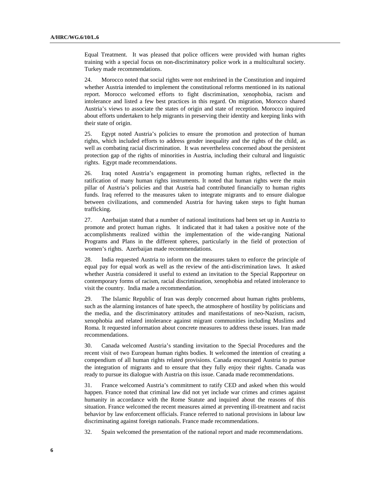Equal Treatment. It was pleased that police officers were provided with human rights training with a special focus on non-discriminatory police work in a multicultural society. Turkey made recommendations.

24. Morocco noted that social rights were not enshrined in the Constitution and inquired whether Austria intended to implement the constitutional reforms mentioned in its national report. Morocco welcomed efforts to fight discrimination, xenophobia, racism and intolerance and listed a few best practices in this regard. On migration, Morocco shared Austria's views to associate the states of origin and state of reception. Morocco inquired about efforts undertaken to help migrants in preserving their identity and keeping links with their state of origin.

25. Egypt noted Austria's policies to ensure the promotion and protection of human rights, which included efforts to address gender inequality and the rights of the child, as well as combating racial discrimination. It was nevertheless concerned about the persistent protection gap of the rights of minorities in Austria, including their cultural and linguistic rights. Egypt made recommendations.

26. Iraq noted Austria's engagement in promoting human rights, reflected in the ratification of many human rights instruments. It noted that human rights were the main pillar of Austria's policies and that Austria had contributed financially to human rights funds. Iraq referred to the measures taken to integrate migrants and to ensure dialogue between civilizations, and commended Austria for having taken steps to fight human trafficking.

27. Azerbaijan stated that a number of national institutions had been set up in Austria to promote and protect human rights. It indicated that it had taken a positive note of the accomplishments realized within the implementation of the wide-ranging National Programs and Plans in the different spheres, particularly in the field of protection of women's rights. Azerbaijan made recommendations.

28. India requested Austria to inform on the measures taken to enforce the principle of equal pay for equal work as well as the review of the anti-discrimination laws. It asked whether Austria considered it useful to extend an invitation to the Special Rapporteur on contemporary forms of racism, racial discrimination, xenophobia and related intolerance to visit the country. India made a recommendation.

29. The Islamic Republic of Iran was deeply concerned about human rights problems, such as the alarming instances of hate speech, the atmosphere of hostility by politicians and the media, and the discriminatory attitudes and manifestations of neo-Nazism, racism, xenophobia and related intolerance against migrant communities including Muslims and Roma. It requested information about concrete measures to address these issues. Iran made recommendations.

30. Canada welcomed Austria's standing invitation to the Special Procedures and the recent visit of two European human rights bodies. It welcomed the intention of creating a compendium of all human rights related provisions. Canada encouraged Austria to pursue the integration of migrants and to ensure that they fully enjoy their rights. Canada was ready to pursue its dialogue with Austria on this issue. Canada made recommendations.

31. France welcomed Austria's commitment to ratify CED and asked when this would happen. France noted that criminal law did not yet include war crimes and crimes against humanity in accordance with the Rome Statute and inquired about the reasons of this situation. France welcomed the recent measures aimed at preventing ill-treatment and racist behavior by law enforcement officials. France referred to national provisions in labour law discriminating against foreign nationals. France made recommendations.

32. Spain welcomed the presentation of the national report and made recommendations.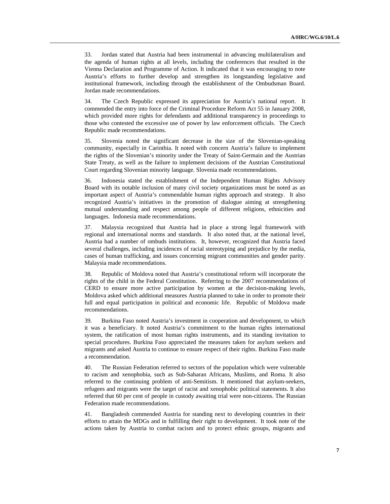33. Jordan stated that Austria had been instrumental in advancing multilateralism and the agenda of human rights at all levels, including the conferences that resulted in the Vienna Declaration and Programme of Action. It indicated that it was encouraging to note Austria's efforts to further develop and strengthen its longstanding legislative and institutional framework, including through the establishment of the Ombudsman Board. Jordan made recommendations.

34. The Czech Republic expressed its appreciation for Austria's national report. It commended the entry into force of the Criminal Procedure Reform Act 55 in January 2008, which provided more rights for defendants and additional transparency in proceedings to those who contested the excessive use of power by law enforcement officials. The Czech Republic made recommendations.

35. Slovenia noted the significant decrease in the size of the Slovenian-speaking community, especially in Carinthia. It noted with concern Austria's failure to implement the rights of the Slovenian's minority under the Treaty of Saint-Germain and the Austrian State Treaty, as well as the failure to implement decisions of the Austrian Constitutional Court regarding Slovenian minority language. Slovenia made recommendations.

36. Indonesia stated the establishment of the Independent Human Rights Advisory Board with its notable inclusion of many civil society organizations must be noted as an important aspect of Austria's commendable human rights approach and strategy. It also recognized Austria's initiatives in the promotion of dialogue aiming at strengthening mutual understanding and respect among people of different religions, ethnicities and languages. Indonesia made recommendations.

37. Malaysia recognized that Austria had in place a strong legal framework with regional and international norms and standards. It also noted that, at the national level, Austria had a number of ombuds institutions. It, however, recognized that Austria faced several challenges, including incidences of racial stereotyping and prejudice by the media, cases of human trafficking, and issues concerning migrant communities and gender parity. Malaysia made recommendations.

38. Republic of Moldova noted that Austria's constitutional reform will incorporate the rights of the child in the Federal Constitution. Referring to the 2007 recommendations of CERD to ensure more active participation by women at the decision-making levels, Moldova asked which additional measures Austria planned to take in order to promote their full and equal participation in political and economic life. Republic of Moldova made recommendations.

39. Burkina Faso noted Austria's investment in cooperation and development, to which it was a beneficiary. It noted Austria's commitment to the human rights international system, the ratification of most human rights instruments, and its standing invitation to special procedures. Burkina Faso appreciated the measures taken for asylum seekers and migrants and asked Austria to continue to ensure respect of their rights. Burkina Faso made a recommendation.

40. The Russian Federation referred to sectors of the population which were vulnerable to racism and xenophobia, such as Sub-Saharan Africans, Muslims, and Roma. It also referred to the continuing problem of anti-Semitism. It mentioned that asylum-seekers, refugees and migrants were the target of racist and xenophobic political statements. It also referred that 60 per cent of people in custody awaiting trial were non-citizens. The Russian Federation made recommendations.

41. Bangladesh commended Austria for standing next to developing countries in their efforts to attain the MDGs and in fulfilling their right to development. It took note of the actions taken by Austria to combat racism and to protect ethnic groups, migrants and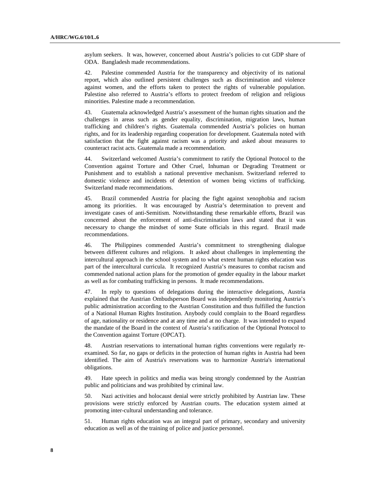asylum seekers. It was, however, concerned about Austria's policies to cut GDP share of ODA. Bangladesh made recommendations.

42. Palestine commended Austria for the transparency and objectivity of its national report, which also outlined persistent challenges such as discrimination and violence against women, and the efforts taken to protect the rights of vulnerable population. Palestine also referred to Austria's efforts to protect freedom of religion and religious minorities. Palestine made a recommendation.

43. Guatemala acknowledged Austria's assessment of the human rights situation and the challenges in areas such as gender equality, discrimination, migration laws, human trafficking and children's rights. Guatemala commended Austria's policies on human rights, and for its leadership regarding cooperation for development. Guatemala noted with satisfaction that the fight against racism was a priority and asked about measures to counteract racist acts. Guatemala made a recommendation.

44. Switzerland welcomed Austria's commitment to ratify the Optional Protocol to the Convention against Torture and Other Cruel, Inhuman or Degrading Treatment or Punishment and to establish a national preventive mechanism. Switzerland referred to domestic violence and incidents of detention of women being victims of trafficking. Switzerland made recommendations.

45. Brazil commended Austria for placing the fight against xenophobia and racism among its priorities. It was encouraged by Austria's determination to prevent and investigate cases of anti-Semitism. Notwithstanding these remarkable efforts, Brazil was concerned about the enforcement of anti-discrimination laws and stated that it was necessary to change the mindset of some State officials in this regard. Brazil made recommendations.

46. The Philippines commended Austria's commitment to strengthening dialogue between different cultures and religions. It asked about challenges in implementing the intercultural approach in the school system and to what extent human rights education was part of the intercultural curricula. It recognized Austria's measures to combat racism and commended national action plans for the promotion of gender equality in the labour market as well as for combating trafficking in persons. It made recommendations.

47. In reply to questions of delegations during the interactive delegations, Austria explained that the Austrian Ombudsperson Board was independently monitoring Austria's public administration according to the Austrian Constitution and thus fulfilled the function of a National Human Rights Institution. Anybody could complain to the Board regardless of age, nationality or residence and at any time and at no charge. It was intended to expand the mandate of the Board in the context of Austria's ratification of the Optional Protocol to the Convention against Torture (OPCAT).

Austrian reservations to international human rights conventions were regularly reexamined. So far, no gaps or deficits in the protection of human rights in Austria had been identified. The aim of Austria's reservations was to harmonize Austria's international obligations.

49. Hate speech in politics and media was being strongly condemned by the Austrian public and politicians and was prohibited by criminal law.

50. Nazi activities and holocaust denial were strictly prohibited by Austrian law. These provisions were strictly enforced by Austrian courts. The education system aimed at promoting inter-cultural understanding and tolerance.

51. Human rights education was an integral part of primary, secondary and university education as well as of the training of police and justice personnel.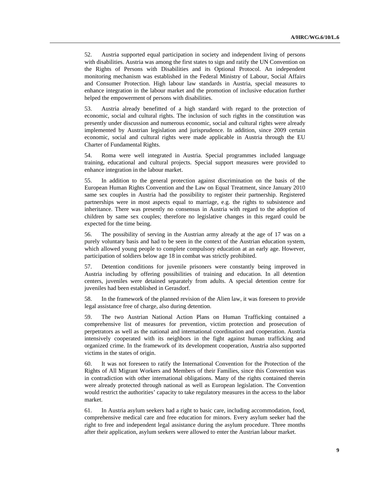52. Austria supported equal participation in society and independent living of persons with disabilities. Austria was among the first states to sign and ratify the UN Convention on the Rights of Persons with Disabilities and its Optional Protocol. An independent monitoring mechanism was established in the Federal Ministry of Labour, Social Affairs and Consumer Protection. High labour law standards in Austria, special measures to enhance integration in the labour market and the promotion of inclusive education further helped the empowerment of persons with disabilities.

53. Austria already benefitted of a high standard with regard to the protection of economic, social and cultural rights. The inclusion of such rights in the constitution was presently under discussion and numerous economic, social and cultural rights were already implemented by Austrian legislation and jurisprudence. In addition, since 2009 certain economic, social and cultural rights were made applicable in Austria through the EU Charter of Fundamental Rights.

54. Roma were well integrated in Austria. Special programmes included language training, educational and cultural projects. Special support measures were provided to enhance integration in the labour market.

55. In addition to the general protection against discrimination on the basis of the European Human Rights Convention and the Law on Equal Treatment, since January 2010 same sex couples in Austria had the possibility to register their partnership. Registered partnerships were in most aspects equal to marriage, e.g. the rights to subsistence and inheritance. There was presently no consensus in Austria with regard to the adoption of children by same sex couples; therefore no legislative changes in this regard could be expected for the time being.

56. The possibility of serving in the Austrian army already at the age of 17 was on a purely voluntary basis and had to be seen in the context of the Austrian education system, which allowed young people to complete compulsory education at an early age. However, participation of soldiers below age 18 in combat was strictly prohibited.

57. Detention conditions for juvenile prisoners were constantly being improved in Austria including by offering possibilities of training and education. In all detention centers, juveniles were detained separately from adults. A special detention centre for juveniles had been established in Gerasdorf.

58. In the framework of the planned revision of the Alien law, it was foreseen to provide legal assistance free of charge, also during detention.

59. The two Austrian National Action Plans on Human Trafficking contained a comprehensive list of measures for prevention, victim protection and prosecution of perpetrators as well as the national and international coordination and cooperation. Austria intensively cooperated with its neighbors in the fight against human trafficking and organized crime. In the framework of its development cooperation, Austria also supported victims in the states of origin.

60. It was not foreseen to ratify the International Convention for the Protection of the Rights of All Migrant Workers and Members of their Families, since this Convention was in contradiction with other international obligations. Many of the rights contained therein were already protected through national as well as European legislation. The Convention would restrict the authorities' capacity to take regulatory measures in the access to the labor market.

61. In Austria asylum seekers had a right to basic care, including accommodation, food, comprehensive medical care and free education for minors. Every asylum seeker had the right to free and independent legal assistance during the asylum procedure. Three months after their application, asylum seekers were allowed to enter the Austrian labour market.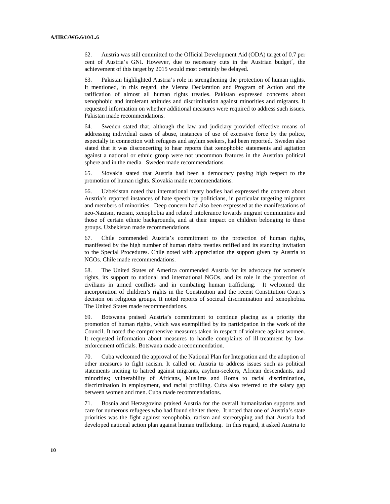62. Austria was still committed to the Official Development Aid (ODA) target of 0.7 per cent of Austria's GNI. However, due to necessary cuts in the Austrian budget´, the achievement of this target by 2015 would most certainly be delayed.

63. Pakistan highlighted Austria's role in strengthening the protection of human rights. It mentioned, in this regard, the Vienna Declaration and Program of Action and the ratification of almost all human rights treaties. Pakistan expressed concerns about xenophobic and intolerant attitudes and discrimination against minorities and migrants. It requested information on whether additional measures were required to address such issues. Pakistan made recommendations.

64. Sweden stated that, although the law and judiciary provided effective means of addressing individual cases of abuse, instances of use of excessive force by the police, especially in connection with refugees and asylum seekers, had been reported. Sweden also stated that it was disconcerting to hear reports that xenophobic statements and agitation against a national or ethnic group were not uncommon features in the Austrian political sphere and in the media. Sweden made recommendations.

65. Slovakia stated that Austria had been a democracy paying high respect to the promotion of human rights. Slovakia made recommendations.

66. Uzbekistan noted that international treaty bodies had expressed the concern about Austria's reported instances of hate speech by politicians, in particular targeting migrants and members of minorities. Deep concern had also been expressed at the manifestations of neo-Nazism, racism, xenophobia and related intolerance towards migrant communities and those of certain ethnic backgrounds, and at their impact on children belonging to these groups. Uzbekistan made recommendations.

67. Chile commended Austria's commitment to the protection of human rights, manifested by the high number of human rights treaties ratified and its standing invitation to the Special Procedures. Chile noted with appreciation the support given by Austria to NGOs. Chile made recommendations.

68. The United States of America commended Austria for its advocacy for women's rights, its support to national and international NGOs, and its role in the protection of civilians in armed conflicts and in combating human trafficking. It welcomed the incorporation of children's rights in the Constitution and the recent Constitution Court's decision on religious groups. It noted reports of societal discrimination and xenophobia. The United States made recommendations.

69. Botswana praised Austria's commitment to continue placing as a priority the promotion of human rights, which was exemplified by its participation in the work of the Council. It noted the comprehensive measures taken in respect of violence against women. It requested information about measures to handle complaints of ill-treatment by lawenforcement officials. Botswana made a recommendation.

70. Cuba welcomed the approval of the National Plan for Integration and the adoption of other measures to fight racism. It called on Austria to address issues such as political statements inciting to hatred against migrants, asylum-seekers, African descendants, and minorities; vulnerability of Africans, Muslims and Roma to racial discrimination, discrimination in employment, and racial profiling. Cuba also referred to the salary gap between women and men. Cuba made recommendations.

71. Bosnia and Herzegovina praised Austria for the overall humanitarian supports and care for numerous refugees who had found shelter there. It noted that one of Austria's state priorities was the fight against xenophobia, racism and stereotyping and that Austria had developed national action plan against human trafficking. In this regard, it asked Austria to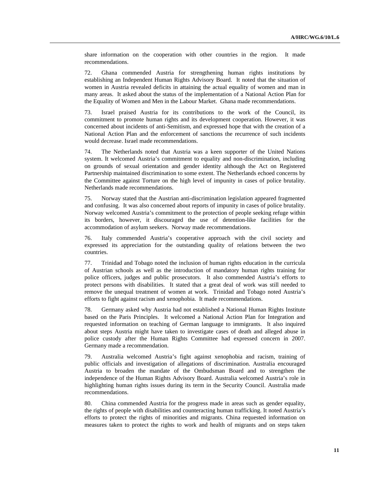share information on the cooperation with other countries in the region. It made recommendations.

72. Ghana commended Austria for strengthening human rights institutions by establishing an Independent Human Rights Advisory Board. It noted that the situation of women in Austria revealed deficits in attaining the actual equality of women and man in many areas. It asked about the status of the implementation of a National Action Plan for the Equality of Women and Men in the Labour Market. Ghana made recommendations.

73. Israel praised Austria for its contributions to the work of the Council, its commitment to promote human rights and its development cooperation. However, it was concerned about incidents of anti-Semitism, and expressed hope that with the creation of a National Action Plan and the enforcement of sanctions the recurrence of such incidents would decrease. Israel made recommendations.

74. The Netherlands noted that Austria was a keen supporter of the United Nations system. It welcomed Austria's commitment to equality and non-discrimination, including on grounds of sexual orientation and gender identity although the Act on Registered Partnership maintained discrimination to some extent. The Netherlands echoed concerns by the Committee against Torture on the high level of impunity in cases of police brutality. Netherlands made recommendations.

75. Norway stated that the Austrian anti-discrimination legislation appeared fragmented and confusing. It was also concerned about reports of impunity in cases of police brutality. Norway welcomed Austria's commitment to the protection of people seeking refuge within its borders, however, it discouraged the use of detention-like facilities for the accommodation of asylum seekers. Norway made recommendations.

76. Italy commended Austria's cooperative approach with the civil society and expressed its appreciation for the outstanding quality of relations between the two countries.

77. Trinidad and Tobago noted the inclusion of human rights education in the curricula of Austrian schools as well as the introduction of mandatory human rights training for police officers, judges and public prosecutors. It also commended Austria's efforts to protect persons with disabilities. It stated that a great deal of work was still needed to remove the unequal treatment of women at work. Trinidad and Tobago noted Austria's efforts to fight against racism and xenophobia. It made recommendations.

78. Germany asked why Austria had not established a National Human Rights Institute based on the Paris Principles. It welcomed a National Action Plan for Integration and requested information on teaching of German language to immigrants. It also inquired about steps Austria might have taken to investigate cases of death and alleged abuse in police custody after the Human Rights Committee had expressed concern in 2007. Germany made a recommendation.

79. Australia welcomed Austria's fight against xenophobia and racism, training of public officials and investigation of allegations of discrimination. Australia encouraged Austria to broaden the mandate of the Ombudsman Board and to strengthen the independence of the Human Rights Advisory Board. Australia welcomed Austria's role in highlighting human rights issues during its term in the Security Council. Australia made recommendations.

80. China commended Austria for the progress made in areas such as gender equality, the rights of people with disabilities and counteracting human trafficking. It noted Austria's efforts to protect the rights of minorities and migrants. China requested information on measures taken to protect the rights to work and health of migrants and on steps taken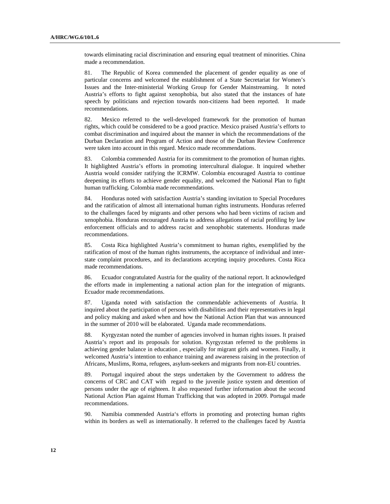towards eliminating racial discrimination and ensuring equal treatment of minorities. China made a recommendation.

81. The Republic of Korea commended the placement of gender equality as one of particular concerns and welcomed the establishment of a State Secretariat for Women's Issues and the Inter-ministerial Working Group for Gender Mainstreaming. It noted Austria's efforts to fight against xenophobia, but also stated that the instances of hate speech by politicians and rejection towards non-citizens had been reported. It made recommendations.

82. Mexico referred to the well-developed framework for the promotion of human rights, which could be considered to be a good practice. Mexico praised Austria's efforts to combat discrimination and inquired about the manner in which the recommendations of the Durban Declaration and Program of Action and those of the Durban Review Conference were taken into account in this regard. Mexico made recommendations.

83. Colombia commended Austria for its commitment to the promotion of human rights. It highlighted Austria's efforts in promoting intercultural dialogue. It inquired whether Austria would consider ratifying the ICRMW. Colombia encouraged Austria to continue deepening its efforts to achieve gender equality, and welcomed the National Plan to fight human trafficking. Colombia made recommendations.

84. Honduras noted with satisfaction Austria's standing invitation to Special Procedures and the ratification of almost all international human rights instruments. Honduras referred to the challenges faced by migrants and other persons who had been victims of racism and xenophobia. Honduras encouraged Austria to address allegations of racial profiling by law enforcement officials and to address racist and xenophobic statements. Honduras made recommendations.

85. Costa Rica highlighted Austria's commitment to human rights, exemplified by the ratification of most of the human rights instruments, the acceptance of individual and interstate complaint procedures, and its declarations accepting inquiry procedures. Costa Rica made recommendations.

86. Ecuador congratulated Austria for the quality of the national report. It acknowledged the efforts made in implementing a national action plan for the integration of migrants. Ecuador made recommendations.

87. Uganda noted with satisfaction the commendable achievements of Austria. It inquired about the participation of persons with disabilities and their representatives in legal and policy making and asked when and how the National Action Plan that was announced in the summer of 2010 will be elaborated. Uganda made recommendations.

88. Kyrgyzstan noted the number of agencies involved in human rights issues. It praised Austria's report and its proposals for solution. Kyrgyzstan referred to the problems in achieving gender balance in education , especially for migrant girls and women. Finally, it welcomed Austria's intention to enhance training and awareness raising in the protection of Africans, Muslims, Roma, refugees, asylum-seekers and migrants from non-EU countries.

89. Portugal inquired about the steps undertaken by the Government to address the concerns of CRC and CAT with regard to the juvenile justice system and detention of persons under the age of eighteen. It also requested further information about the second National Action Plan against Human Trafficking that was adopted in 2009. Portugal made recommendations.

90. Namibia commended Austria's efforts in promoting and protecting human rights within its borders as well as internationally. It referred to the challenges faced by Austria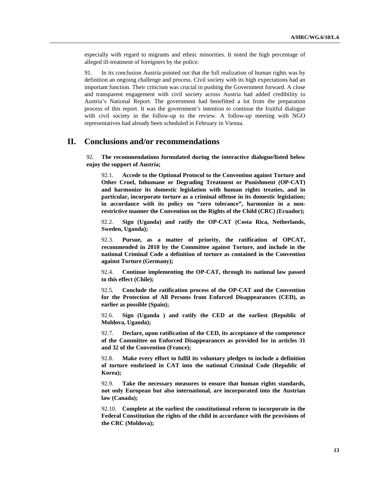especially with regard to migrants and ethnic minorities. It noted the high percentage of alleged ill-treatment of foreigners by the police.

91. In its conclusion Austria pointed out that the full realization of human rights was by definition an ongoing challenge and process. Civil society with its high expectations had an important function. Their criticism was crucial in pushing the Government forward. A close and transparent engagement with civil society across Austria had added credibility to Austria's National Report. The government had benefitted a lot from the preparation process of this report. It was the government's intention to continue the fruitful dialogue with civil society in the follow-up to the review. A follow-up meeting with NGO representatives had already been scheduled in February in Vienna.

## **II. Conclusions and/or recommendations**

92. **The recommendations formulated during the interactive dialogue/listed below enjoy the support of Austria;**

92.1. **Accede to the Optional Protocol to the Convention against Torture and Other Cruel, Inhumane or Degrading Treatment or Punishment (OP-CAT) and harmonize its domestic legislation with human rights treaties, and in particular, incorporate torture as a criminal offense in its domestic legislation; in accordance with its policy on "zero tolerance", harmonize in a nonrestrictive manner the Convention on the Rights of the Child (CRC) (Ecuador);**

92.2. **Sign (Uganda) and ratify the OP-CAT (Costa Rica, Netherlands, Sweden, Uganda);**

92.3. **Pursue, as a matter of priority, the ratification of OPCAT, recommended in 2010 by the Committee against Torture, and include in the national Criminal Code a definition of torture as contained in the Convention against Torture (Germany);**

92.4. **Continue implementing the OP-CAT, through its national law passed to this effect (Chile);**

92.5. **Conclude the ratification process of the OP-CAT and the Convention for the Protection of All Persons from Enforced Disappearances (CED), as earlier as possible (Spain);**

92.6. **Sign (Uganda ) and ratify the CED at the earliest (Republic of Moldova, Uganda);**

92.7. **Declare, upon ratification of the CED, its acceptance of the competence of the Committee on Enforced Disappearances as provided for in articles 31 and 32 of the Convention (France);**

92.8. **Make every effort to fulfil its voluntary pledges to include a definition of torture enshrined in CAT into the national Criminal Code (Republic of Korea);**

92.9. **Take the necessary measures to ensure that human rights standards, not only European but also international, are incorporated into the Austrian law (Canada);**

92.10. **Complete at the earliest the constitutional reform to incorporate in the Federal Constitution the rights of the child in accordance with the provisions of the CRC (Moldova);**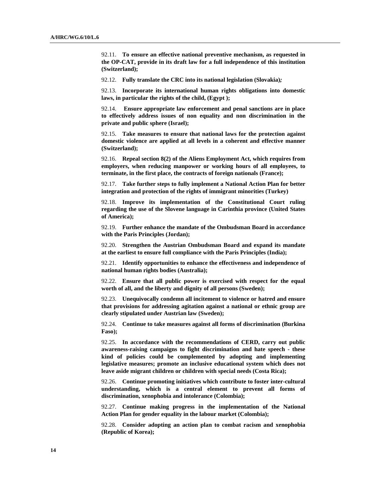92.11. **To ensure an effective national preventive mechanism, as requested in the OP-CAT, provide in its draft law for a full independence of this institution (Switzerland);**

92.12. **Fully translate the CRC into its national legislation (Slovakia)***;*

92.13. **Incorporate its international human rights obligations into domestic laws, in particular the rights of the child, (Egypt );**

92.14. **Ensure appropriate law enforcement and penal sanctions are in place to effectively address issues of non equality and non discrimination in the private and public sphere (Israel);**

92.15. **Take measures to ensure that national laws for the protection against domestic violence are applied at all levels in a coherent and effective manner (Switzerland);**

92.16. **Repeal section 8(2) of the Aliens Employment Act, which requires from employers, when reducing manpower or working hours of all employees, to terminate, in the first place, the contracts of foreign nationals (France);**

92.17. **Take further steps to fully implement a National Action Plan for better integration and protection of the rights of immigrant minorities (Turkey)**

92.18. **Improve its implementation of the Constitutional Court ruling regarding the use of the Slovene language in Carinthia province (United States of America);**

92.19. **Further enhance the mandate of the Ombudsman Board in accordance with the Paris Principles (Jordan);**

92.20. **Strengthen the Austrian Ombudsman Board and expand its mandate at the earliest to ensure full compliance with the Paris Principles (India);**

92.21. **Identify opportunities to enhance the effectiveness and independence of national human rights bodies (Australia);**

92.22. **Ensure that all public power is exercised with respect for the equal worth of all, and the liberty and dignity of all persons (Sweden);**

92.23. **Unequivocally condemn all incitement to violence or hatred and ensure that provisions for addressing agitation against a national or ethnic group are clearly stipulated under Austrian law (Sweden);**

92.24. **Continue to take measures against all forms of discrimination (Burkina Faso);**

92.25. **In accordance with the recommendations of CERD, carry out public awareness-raising campaigns to fight discrimination and hate speech - these kind of policies could be complemented by adopting and implementing legislative measures; promote an inclusive educational system which does not leave aside migrant children or children with special needs (Costa Rica);**

92.26. **Continue promoting initiatives which contribute to foster inter-cultural understanding, which is a central element to prevent all forms of discrimination, xenophobia and intolerance (Colombia);** 

92.27. **Continue making progress in the implementation of the National Action Plan for gender equality in the labour market (Colombia);**

92.28. **Consider adopting an action plan to combat racism and xenophobia (Republic of Korea);**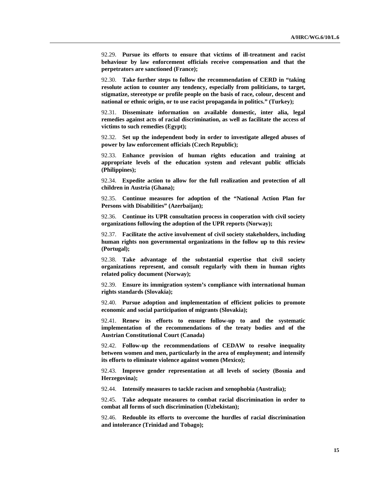92.29. **Pursue its efforts to ensure that victims of ill-treatment and racist behaviour by law enforcement officials receive compensation and that the perpetrators are sanctioned (France);**

92.30. **Take further steps to follow the recommendation of CERD in "taking resolute action to counter any tendency, especially from politicians, to target, stigmatize, stereotype or profile people on the basis of race, colour, descent and national or ethnic origin, or to use racist propaganda in politics." (Turkey);**

92.31. **Disseminate information on available domestic, inter alia, legal remedies against acts of racial discrimination, as well as facilitate the access of victims to such remedies (Egypt);**

92.32. **Set up the independent body in order to investigate alleged abuses of power by law enforcement officials (Czech Republic);**

92.33. **Enhance provision of human rights education and training at appropriate levels of the education system and relevant public officials (Philippines);**

92.34. **Expedite action to allow for the full realization and protection of all children in Austria (Ghana);**

92.35. **Continue measures for adoption of the "National Action Plan for Persons with Disabilities" (Azerbaijan);**

92.36. **Continue its UPR consultation process in cooperation with civil society organizations following the adoption of the UPR reports (Norway);** 

92.37. **Facilitate the active involvement of civil society stakeholders, including human rights non governmental organizations in the follow up to this review (Portugal);**

92.38. **Take advantage of the substantial expertise that civil society organizations represent, and consult regularly with them in human rights related policy document (Norway);**

92.39. **Ensure its immigration system's compliance with international human rights standards (Slovakia);**

92.40. **Pursue adoption and implementation of efficient policies to promote economic and social participation of migrants (Slovakia);**

92.41. **Renew its efforts to ensure follow-up to and the systematic implementation of the recommendations of the treaty bodies and of the Austrian Constitutional Court (Canada)**

92.42. **Follow-up the recommendations of CEDAW to resolve inequality between women and men, particularly in the area of employment; and intensify its efforts to eliminate violence against women (Mexico);**

92.43. **Improve gender representation at all levels of society (Bosnia and Herzegovina);**

92.44. **Intensify measures to tackle racism and xenophobia (Australia);**

92.45. **Take adequate measures to combat racial discrimination in order to combat all forms of such discrimination (Uzbekistan);**

92.46. **Redouble its efforts to overcome the hurdles of racial discrimination and intolerance (Trinidad and Tobago);**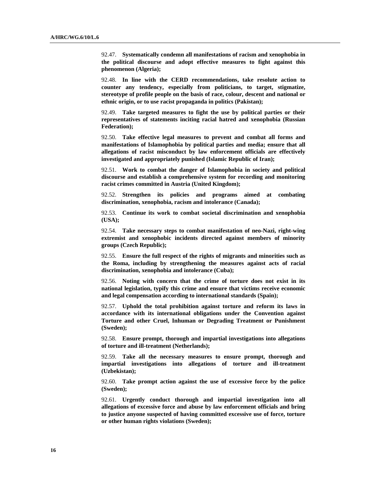92.47. **Systematically condemn all manifestations of racism and xenophobia in the political discourse and adopt effective measures to fight against this phenomenon (Algeria);**

92.48. **In line with the CERD recommendations, take resolute action to counter any tendency, especially from politicians, to target, stigmatize, stereotype of profile people on the basis of race, colour, descent and national or ethnic origin, or to use racist propaganda in politics (Pakistan);**

92.49. **Take targeted measures to fight the use by political parties or their representatives of statements inciting racial hatred and xenophobia (Russian Federation);**

92.50. **Take effective legal measures to prevent and combat all forms and manifestations of Islamophobia by political parties and media; ensure that all allegations of racist misconduct by law enforcement officials are effectively investigated and appropriately punished (Islamic Republic of Iran);**

92.51. **Work to combat the danger of Islamophobia in society and political discourse and establish a comprehensive system for recording and monitoring racist crimes committed in Austria (United Kingdom);**

92.52. **Strengthen its policies and programs aimed at combating discrimination, xenophobia, racism and intolerance (Canada);**

92.53. **Continue its work to combat societal discrimination and xenophobia (USA);**

92.54. **Take necessary steps to combat manifestation of neo-Nazi, right-wing extremist and xenophobic incidents directed against members of minority groups (Czech Republic);**

92.55. **Ensure the full respect of the rights of migrants and minorities such as the Roma, including by strengthening the measures against acts of racial discrimination, xenophobia and intolerance (Cuba);**

92.56. **Noting with concern that the crime of torture does not exist in its national legislation, typify this crime and ensure that victims receive economic and legal compensation according to international standards (Spain);** 

92.57. **Uphold the total prohibition against torture and reform its laws in accordance with its international obligations under the Convention against Torture and other Cruel, Inhuman or Degrading Treatment or Punishment (Sweden);**

92.58. **Ensure prompt, thorough and impartial investigations into allegations of torture and ill-treatment (Netherlands);**

92.59. **Take all the necessary measures to ensure prompt, thorough and impartial investigations into allegations of torture and ill-treatment (Uzbekistan);**

92.60. **Take prompt action against the use of excessive force by the police (Sweden);**

92.61. **Urgently conduct thorough and impartial investigation into all allegations of excessive force and abuse by law enforcement officials and bring to justice anyone suspected of having committed excessive use of force, torture or other human rights violations (Sweden);**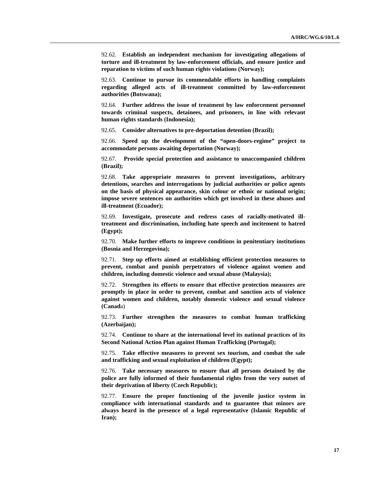92.62. **Establish an independent mechanism for investigating allegations of torture and ill-treatment by law-enforcement officials, and ensure justice and reparation to victims of such human rights violations (Norway);**

92.63. **Continue to pursue its commendable efforts in handling complaints regarding alleged acts of ill-treatment committed by law-enforcement authorities (Botswana);**

92.64. **Further address the issue of treatment by law enforcement personnel towards criminal suspects, detainees, and prisoners, in line with relevant human rights standards (Indonesia);**

92.65. **Consider alternatives to pre-deportation detention (Brazil);**

92.66. **Speed up the development of the "open-doors-regime" project to accommodate persons awaiting deportation (Norway);**

92.67. **Provide special protection and assistance to unaccompanied children (Brazil);**

92.68. **Take appropriate measures to prevent investigations, arbitrary detentions, searches and interrogations by judicial authorities or police agents on the basis of physical appearance, skin colour or ethnic or national origin; impose severe sentences on authorities which get involved in these abuses and ill-treatment (Ecuador);**

92.69. **Investigate, prosecute and redress cases of racially-motivated illtreatment and discrimination, including hate speech and incitement to hatred (Egypt);**

92.70. **Make further efforts to improve conditions in penitentiary institutions (Bosnia and Herzegovina);**

92.71. **Step up efforts aimed at establishing efficient protection measures to prevent, combat and punish perpetrators of violence against women and children, including domestic violence and sexual abuse (Malaysia);**

92.72. **Strengthen its efforts to ensure that effective protection measures are promptly in place in order to prevent, combat and sanction acts of violence against women and children, notably domestic violence and sexual violence (Canad**a)

92.73. **Further strengthen the measures to combat human trafficking (Azerbaijan);**

92.74. **Continue to share at the international level its national practices of its Second National Action Plan against Human Trafficking (Portugal);**

92.75. **Take effective measures to prevent sex tourism, and combat the sale and trafficking and sexual exploitation of children (Egypt);**

92.76. **Take necessary measures to ensure that all persons detained by the police are fully informed of their fundamental rights from the very outset of their deprivation of liberty (Czech Republic);**

92.77. **Ensure the proper functioning of the juvenile justice system in compliance with international standards and to guarantee that minors are always heard in the presence of a legal representative (Islamic Republic of Iran);**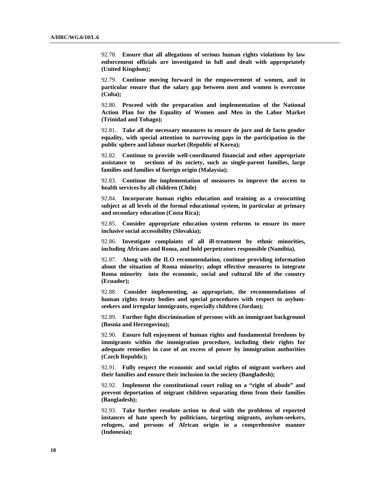92.78. **Ensure that all allegations of serious human rights violations by law enforcement officials are investigated in full and dealt with appropriately (United Kingdom);**

92.79. **Continue moving forward in the empowerment of women, and in particular ensure that the salary gap between men and women is overcome (Cuba);**

92.80. **Proceed with the preparation and implementation of the National Action Plan for the Equality of Women and Men in the Labor Market (Trinidad and Tobago);**

92.81. **Take all the necessary measures to ensure de jure and de facto gender equality, with special attention to narrowing gaps in the participation in the public sphere and labour market (Republic of Korea);**

92.82. **Continue to provide well-coordinated financial and other appropriate assistance to sections of its society, such as single-parent families, large families and families of foreign origin (Malaysia);**

92.83. **Continue the implementation of measures to improve the access to health services by all children (Chile)**

92.84. **Incorporate human rights education and training as a crosscutting subject at all levels of the formal educational system, in particular at primary and secondary education (Costa Rica);**

92.85. **Consider appropriate education system reforms to ensure its more inclusive social accessibility (Slovakia);**

92.86. **Investigate complaints of all ill-treatment by ethnic minorities, including Africans and Roma, and hold perpetrators responsible (Namibia).**

92.87. **Along with the ILO recommendation, continue providing information about the situation of Roma minority; adopt effective measures to integrate Roma minority into the economic, social and cultural life of the country (Ecuador);**

92.88. **Consider implementing, as appropriate, the recommendations of human rights treaty bodies and special procedures with respect to asylumseekers and irregular immigrants, especially children (Jordan);**

92.89. **Further fight discrimination of persons with an immigrant background (Bosnia and Herzegovina);**

92.90. **Ensure full enjoyment of human rights and fundamental freedoms by immigrants within the immigration procedure, including their rights for adequate remedies in case of an excess of power by immigration authorities (Czech Republic);**

92.91. **Fully respect the economic and social rights of migrant workers and their families and ensure their inclusion in the society (Bangladesh);**

92.92. **Implement the constitutional court ruling on a "right of abode" and prevent deportation of migrant children separating them from their families (Bangladesh);**

92.93. **Take further resolute action to deal with the problems of reported instances of hate speech by politicians, targeting migrants, asylum-seekers, refugees, and persons of African origin in a comprehensive manner (Indonesia);**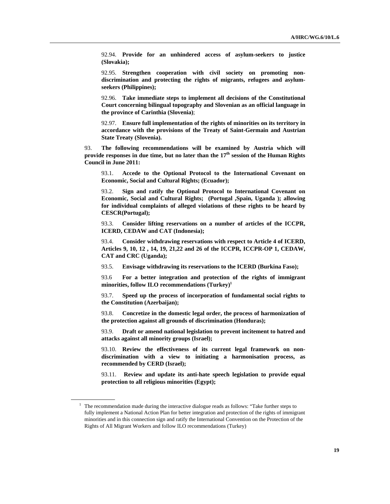92.94. **Provide for an unhindered access of asylum-seekers to justice (Slovakia);**

92.95. **Strengthen cooperation with civil society on promoting nondiscrimination and protecting the rights of migrants, refugees and asylumseekers (Philippines);**

92.96. **Take immediate steps to implement all decisions of the Constitutional Court concerning bilingual topography and Slovenian as an official language in the province of Carinthia (Slovenia)**;

92.97. **Ensure full implementation of the rights of minorities on its territory in accordance with the provisions of the Treaty of Saint-Germain and Austrian State Treaty (Slovenia).**

93. **The following recommendations will be examined by Austria which will provide responses in due time, but no later than the 17<sup>th</sup> session of the Human Rights Council in June 2011:**

93.1. **Accede to the Optional Protocol to the International Covenant on Economic, Social and Cultural Rights; (Ecuador);** 

93.2. **Sign and ratify the Optional Protocol to International Covenant on Economic, Social and Cultural Rights; (Portugal ,Spain, Uganda ); allowing for individual complaints of alleged violations of these rights to be heard by CESCR(Portugal);**

93.3. **Consider lifting reservations on a number of articles of the ICCPR, ICERD, CEDAW and CAT (Indonesia);**

93.4. **Consider withdrawing reservations with respect to Article 4 of ICERD, Articles 9, 10, 12 , 14, 19, 21,22 and 26 of the ICCPR, ICCPR-OP 1, CEDAW, CAT and CRC (Uganda);**

93.5. **Envisage withdrawing its reservations to the ICERD (Burkina Faso);**

93.6 **For a better integration and protection of the rights of immigrant minorities, follow ILO recommendations (Turkey)1**

93.7. **Speed up the process of incorporation of fundamental social rights to the Constitution (Azerbaijan);**

93.8. **Concretize in the domestic legal order, the process of harmonization of the protection against all grounds of discrimination (Honduras);**

93.9. **Draft or amend national legislation to prevent incitement to hatred and attacks against all minority groups (Israel);**

93.10. **Review the effectiveness of its current legal framework on nondiscrimination with a view to initiating a harmonisation process, as recommended by CERD (Israel);** 

93.11. **Review and update its anti-hate speech legislation to provide equal protection to all religious minorities (Egypt);**

 $1$  The recommendation made during the interactive dialogue reads as follows: "Take further steps to fully implement a National Action Plan for better integration and protection of the rights of immigrant minorities and in this connection sign and ratify the International Convention on the Protection of the Rights of All Migrant Workers and follow ILO recommendations (Turkey)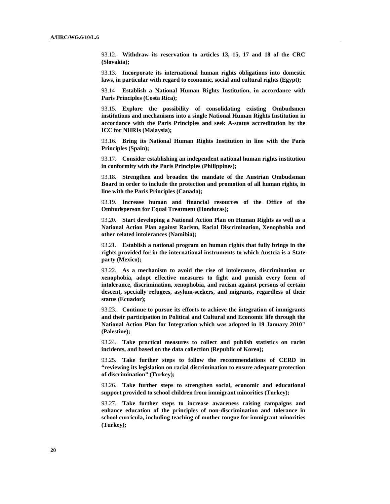93.12. **Withdraw its reservation to articles 13, 15, 17 and 18 of the CRC (Slovakia);**

93.13. **Incorporate its international human rights obligations into domestic laws, in particular with regard to economic, social and cultural rights (Egypt);**

93.14 **Establish a National Human Rights Institution, in accordance with Paris Principles (Costa Rica);**

93.15. **Explore the possibility of consolidating existing Ombudsmen institutions and mechanisms into a single National Human Rights Institution in accordance with the Paris Principles and seek A-status accreditation by the ICC for NHRIs (Malaysia);**

93.16. **Bring its National Human Rights Institution in line with the Paris Principles (Spain);** 

93.17. **Consider establishing an independent national human rights institution in conformity with the Paris Principles (Philippines);**

93.18. **Strengthen and broaden the mandate of the Austrian Ombudsman Board in order to include the protection and promotion of all human rights, in line with the Paris Principles (Canada);**

93.19. **Increase human and financial resources of the Office of the Ombudsperson for Equal Treatment (Honduras);**

93.20. **Start developing a National Action Plan on Human Rights as well as a National Action Plan against Racism, Racial Discrimination, Xenophobia and other related intolerances (Namibia);**

93.21. **Establish a national program on human rights that fully brings in the rights provided for in the international instruments to which Austria is a State party (Mexico);**

93.22. **As a mechanism to avoid the rise of intolerance, discrimination or xenophobia, adopt effective measures to fight and punish every form of intolerance, discrimination, xenophobia, and racism against persons of certain descent, specially refugees, asylum-seekers, and migrants, regardless of their status (Ecuador);** 

93.23. **Continue to pursue its efforts to achieve the integration of immigrants and their participation in Political and Cultural and Economic life through the National Action Plan for Integration which was adopted in 19 January 2010" (Palestine);**

93.24. **Take practical measures to collect and publish statistics on racist incidents, and based on the data collection (Republic of Korea);**

93.25. **Take further steps to follow the recommendations of CERD in "reviewing its legislation on racial discrimination to ensure adequate protection of discrimination" (Turkey);**

93.26. **Take further steps to strengthen social, economic and educational support provided to school children from immigrant minorities (Turkey);**

93.27. **Take further steps to increase awareness raising campaigns and enhance education of the principles of non-discrimination and tolerance in school curricula, including teaching of mother tongue for immigrant minorities (Turkey);**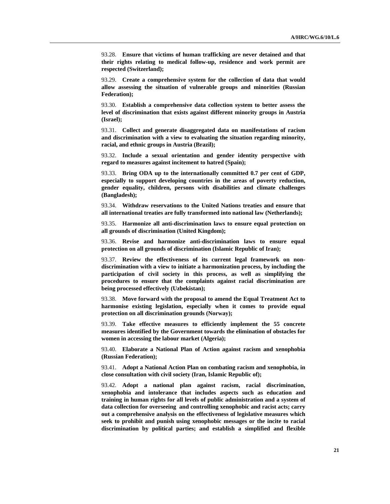93.28. **Ensure that victims of human trafficking are never detained and that their rights relating to medical follow-up, residence and work permit are respected (Switzerland);**

93.29. **Create a comprehensive system for the collection of data that would allow assessing the situation of vulnerable groups and minorities (Russian Federation);**

93.30. **Establish a comprehensive data collection system to better assess the level of discrimination that exists against different minority groups in Austria (Israel);**

93.31. **Collect and generate disaggregated data on manifestations of racism and discrimination with a view to evaluating the situation regarding minority, racial, and ethnic groups in Austria (Brazil);**

93.32. **Include a sexual orientation and gender identity perspective with regard to measures against incitement to hatred (Spain);**

93.33. **Bring ODA up to the internationally committed 0.7 per cent of GDP, especially to support developing countries in the areas of poverty reduction, gender equality, children, persons with disabilities and climate challenges (Bangladesh);**

93.34. **Withdraw reservations to the United Nations treaties and ensure that all international treaties are fully transformed into national law (Netherlands);**

93.35. **Harmonize all anti-discrimination laws to ensure equal protection on all grounds of discrimination (United Kingdom);**

93.36. **Revise and harmonize anti-discrimination laws to ensure equal protection on all grounds of discrimination (Islamic Republic of Iran);**

93.37. **Review the effectiveness of its current legal framework on nondiscrimination with a view to initiate a harmonization process, by including the participation of civil society in this process, as well as simplifying the procedures to ensure that the complaints against racial discrimination are being processed effectively (Uzbekistan);**

93.38. **Move forward with the proposal to amend the Equal Treatment Act to harmonise existing legislation, especially when it comes to provide equal protection on all discrimination grounds (Norway);**

93.39. **Take effective measures to efficiently implement the 55 concrete measures identified by the Government towards the elimination of obstacles for women in accessing the labour market (Algeria);**

93.40. **Elaborate a National Plan of Action against racism and xenophobia (Russian Federation);**

93.41. **Adopt a National Action Plan on combating racism and xenophobia, in close consultation with civil society (Iran, Islamic Republic of);**

93.42. **Adopt a national plan against racism, racial discrimination, xenophobia and intolerance that includes aspects such as education and training in human rights for all levels of public administration and a system of data collection for overseeing and controlling xenophobic and racist acts; carry out a comprehensive analysis on the effectiveness of legislative measures which seek to prohibit and punish using xenophobic messages or the incite to racial discrimination by political parties; and establish a simplified and flexible**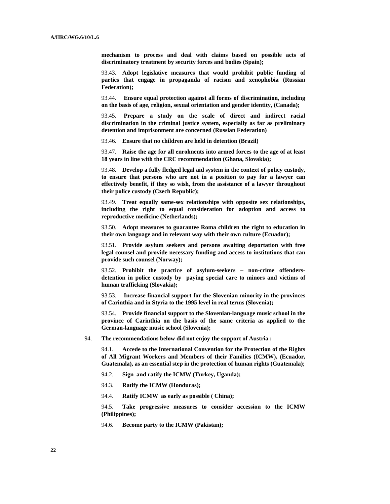**mechanism to process and deal with claims based on possible acts of discriminatory treatment by security forces and bodies (Spain);**

93.43. **Adopt legislative measures that would prohibit public funding of parties that engage in propaganda of racism and xenophobia (Russian Federation);**

93.44. **Ensure equal protection against all forms of discrimination, including on the basis of age, religion, sexual orientation and gender identity, (Canada);**

93.45. **Prepare a study on the scale of direct and indirect racial discrimination in the criminal justice system, especially as far as preliminary detention and imprisonment are concerned (Russian Federation)**

93.46. **Ensure that no children are held in detention (Brazil)**

93.47. **Raise the age for all enrolments into armed forces to the age of at least 18 years in line with the CRC recommendation (Ghana, Slovakia);**

93.48. **Develop a fully fledged legal aid system in the context of policy custody, to ensure that persons who are not in a position to pay for a lawyer can effectively benefit, if they so wish, from the assistance of a lawyer throughout their police custody (Czech Republic);**

93.49. **Treat equally same-sex relationships with opposite sex relationships, including the right to equal consideration for adoption and access to reproductive medicine (Netherlands);**

93.50. **Adopt measures to guarantee Roma children the right to education in their own language and in relevant way with their own culture (Ecuador);**

93.51. **Provide asylum seekers and persons awaiting deportation with free legal counsel and provide necessary funding and access to institutions that can provide such counsel (Norway);**

93.52. **Prohibit the practice of asylum-seekers – non-crime offendersdetention in police custody by paying special care to minors and victims of human trafficking (Slovakia);**

93.53. **Increase financial support for the Slovenian minority in the provinces of Carinthia and in Styria to the 1995 level in real terms (Slovenia);**

93.54. **Provide financial support to the Slovenian-language music school in the province of Carinthia on the basis of the same criteria as applied to the German-language music school (Slovenia);**

94. **The recommendations below did not enjoy the support of Austria :**

94.1. **Accede to the International Convention for the Protection of the Rights of All Migrant Workers and Members of their Families (ICMW), (Ecuador, Guatemala), as an essential step in the protection of human rights (Guatemala)**;

- 94.2. **Sign and ratify the ICMW (Turkey, Uganda);**
- 94.3. **Ratify the ICMW (Honduras);**
- 94.4. **Ratify ICMW as early as possible ( China);**

94.5. **Take progressive measures to consider accession to the ICMW (Philippines);**

94.6. **Become party to the ICMW (Pakistan);**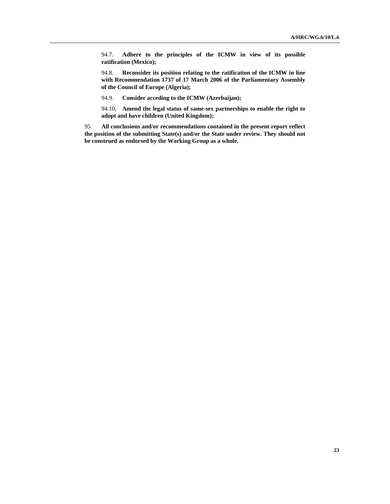94.7. **Adhere to the principles of the ICMW in view of its possible ratification (Mexico);**

94.8. **Reconsider its position relating to the ratification of the ICMW in line with Recommendation 1737 of 17 March 2006 of the Parliamentary Assembly of the Council of Europe (Algeria);**

94.9. **Consider acceding to the ICMW (Azerbaijan);**

94.10, **Amend the legal status of same-sex partnerships to enable the right to adopt and have children (United Kingdom);**

95. **All conclusions and/or recommendations contained in the present report reflect the position of the submitting State(s) and/or the State under review. They should not be construed as endorsed by the Working Group as a whole.**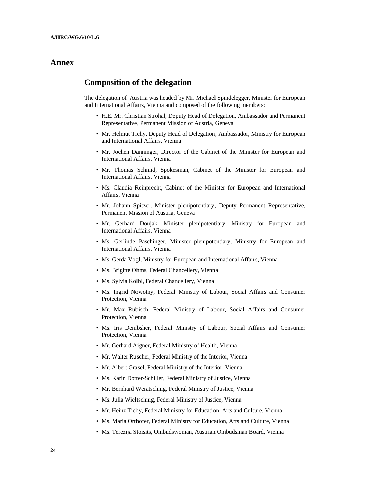## **Annex**

## **Composition of the delegation**

The delegation of Austria was headed by Mr. Michael Spindelegger, Minister for European and International Affairs, Vienna and composed of the following members:

- H.E. Mr. Christian Strohal, Deputy Head of Delegation, Ambassador and Permanent Representative, Permanent Mission of Austria, Geneva
- Mr. Helmut Tichy, Deputy Head of Delegation, Ambassador, Ministry for European and International Affairs, Vienna
- Mr. Jochen Danninger, Director of the Cabinet of the Minister for European and International Affairs, Vienna
- Mr. Thomas Schmid, Spokesman, Cabinet of the Minister for European and International Affairs, Vienna
- Ms. Claudia Reinprecht, Cabinet of the Minister for European and International Affairs, Vienna
- Mr. Johann Spitzer, Minister plenipotentiary, Deputy Permanent Representative, Permanent Mission of Austria, Geneva
- Mr. Gerhard Doujak, Minister plenipotentiary, Ministry for European and International Affairs, Vienna
- Ms. Gerlinde Paschinger, Minister plenipotentiary, Ministry for European and International Affairs, Vienna
- Ms. Gerda Vogl, Ministry for European and International Affairs, Vienna
- Ms. Brigitte Ohms, Federal Chancellery, Vienna
- Ms. Sylvia Kölbl, Federal Chancellery, Vienna
- Ms. Ingrid Nowotny, Federal Ministry of Labour, Social Affairs and Consumer Protection, Vienna
- Mr. Max Rubisch, Federal Ministry of Labour, Social Affairs and Consumer Protection, Vienna
- Ms. Iris Dembsher, Federal Ministry of Labour, Social Affairs and Consumer Protection, Vienna
- Mr. Gerhard Aigner, Federal Ministry of Health, Vienna
- Mr. Walter Ruscher, Federal Ministry of the Interior, Vienna
- Mr. Albert Grasel, Federal Ministry of the Interior, Vienna
- Ms. Karin Dotter-Schiller, Federal Ministry of Justice, Vienna
- Mr. Bernhard Weratschnig, Federal Ministry of Justice, Vienna
- Ms. Julia Wieltschnig, Federal Ministry of Justice, Vienna
- Mr. Heinz Tichy, Federal Ministry for Education, Arts and Culture, Vienna
- Ms. Maria Orthofer, Federal Ministry for Education, Arts and Culture, Vienna
- Ms. Terezija Stoisits, Ombudswoman, Austrian Ombudsman Board, Vienna